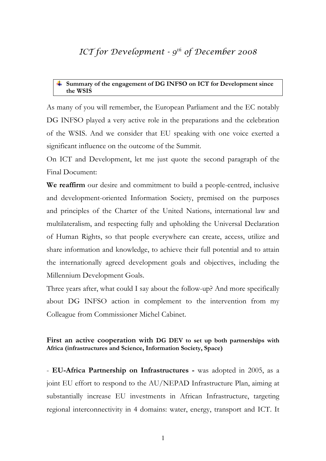# *ICT for Development - 9th of December 2008*

#### **Summary of the engagement of DG INFSO on ICT for Development since the WSIS**

As many of you will remember, the European Parliament and the EC notably DG INFSO played a very active role in the preparations and the celebration of the WSIS. And we consider that EU speaking with one voice exerted a significant influence on the outcome of the Summit.

On ICT and Development, let me just quote the second paragraph of the Final Document:

**We reaffirm** our desire and commitment to build a people-centred, inclusive and development-oriented Information Society, premised on the purposes and principles of the Charter of the United Nations, international law and multilateralism, and respecting fully and upholding the Universal Declaration of Human Rights, so that people everywhere can create, access, utilize and share information and knowledge, to achieve their full potential and to attain the internationally agreed development goals and objectives, including the Millennium Development Goals.

Three years after, what could I say about the follow-up? And more specifically about DG INFSO action in complement to the intervention from my Colleague from Commissioner Michel Cabinet.

# **First an active cooperation with DG DEV to set up both partnerships with Africa (infrastructures and Science, Information Society, Space)**

- **EU-Africa Partnership on Infrastructures -** was adopted in 2005, as a joint EU effort to respond to the AU/NEPAD Infrastructure Plan, aiming at substantially increase EU investments in African Infrastructure, targeting regional interconnectivity in 4 domains: water, energy, transport and ICT. It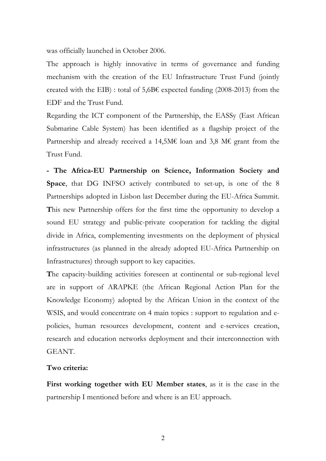was officially launched in October 2006.

The approach is highly innovative in terms of governance and funding mechanism with the creation of the EU Infrastructure Trust Fund (jointly created with the EIB) : total of  $5,6B\epsilon$  expected funding (2008-2013) from the EDF and the Trust Fund.

Regarding the ICT component of the Partnership, the EASSy (East African Submarine Cable System) has been identified as a flagship project of the Partnership and already received a 14,5M€ loan and 3,8 M€ grant from the Trust Fund.

**- The Africa-EU Partnership on Science, Information Society and Space**, that DG INFSO actively contributed to set-up, is one of the 8 Partnerships adopted in Lisbon last December during the EU-Africa Summit. **T**his new Partnership offers for the first time the opportunity to develop a sound EU strategy and public-private cooperation for tackling the digital divide in Africa, complementing investments on the deployment of physical infrastructures (as planned in the already adopted EU-Africa Partnership on Infrastructures) through support to key capacities.

**T**he capacity-building activities foreseen at continental or sub-regional level are in support of ARAPKE (the African Regional Action Plan for the Knowledge Economy) adopted by the African Union in the context of the WSIS, and would concentrate on 4 main topics : support to regulation and epolicies, human resources development, content and e-services creation, research and education networks deployment and their interconnection with GEANT.

# **Two criteria:**

**First working together with EU Member states**, as it is the case in the partnership I mentioned before and where is an EU approach.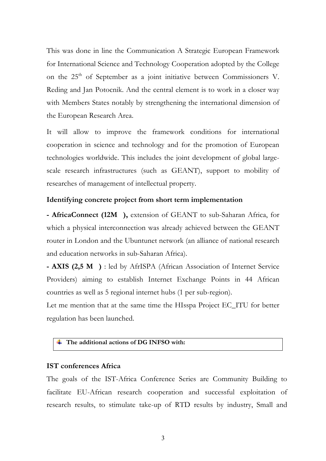This was done in line the Communication A Strategic European Framework for International Science and Technology Cooperation adopted by the College on the 25<sup>th</sup> of September as a joint initiative between Commissioners V. Reding and Jan Potocnik. And the central element is to work in a closer way with Members States notably by strengthening the international dimension of the European Research Area.

It will allow to improve the framework conditions for international cooperation in science and technology and for the promotion of European technologies worldwide. This includes the joint development of global largescale research infrastructures (such as GEANT), support to mobility of researches of management of intellectual property.

# **Identifying concrete project from short term implementation**

**- AfricaConnect (12M),** extension of GEANT to sub-Saharan Africa, for which a physical interconnection was already achieved between the GEANT router in London and the Ubuntunet network (an alliance of national research and education networks in sub-Saharan Africa).

**- AXIS (2,5 M)** : led by AfrISPA (African Association of Internet Service Providers) aiming to establish Internet Exchange Points in 44 African countries as well as 5 regional internet hubs (1 per sub-region).

Let me mention that at the same time the HIsspa Project EC\_ITU for better regulation has been launched.

### **The additional actions of DG INFSO with:**

#### **IST conferences Africa**

The goals of the IST-Africa Conference Series are Community Building to facilitate EU-African research cooperation and successful exploitation of research results, to stimulate take-up of RTD results by industry, Small and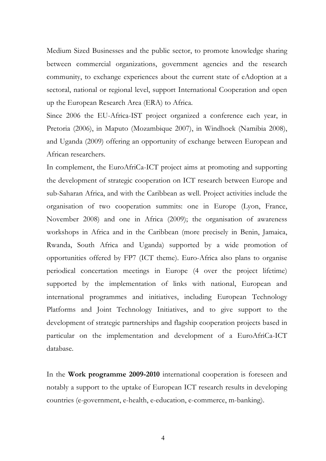Medium Sized Businesses and the public sector, to promote knowledge sharing between commercial organizations, government agencies and the research community, to exchange experiences about the current state of eAdoption at a sectoral, national or regional level, support International Cooperation and open up the European Research Area (ERA) to Africa.

Since 2006 the EU-Africa-IST project organized a conference each year, in Pretoria (2006), in Maputo (Mozambique 2007), in Windhoek (Namibia 2008), and Uganda (2009) offering an opportunity of exchange between European and African researchers.

In complement, the EuroAfriCa-ICT project aims at promoting and supporting the development of strategic cooperation on ICT research between Europe and sub-Saharan Africa, and with the Caribbean as well. Project activities include the organisation of two cooperation summits: one in Europe (Lyon, France, November 2008) and one in Africa (2009); the organisation of awareness workshops in Africa and in the Caribbean (more precisely in Benin, Jamaica, Rwanda, South Africa and Uganda) supported by a wide promotion of opportunities offered by FP7 (ICT theme). Euro-Africa also plans to organise periodical concertation meetings in Europe (4 over the project lifetime) supported by the implementation of links with national, European and international programmes and initiatives, including European Technology Platforms and Joint Technology Initiatives, and to give support to the development of strategic partnerships and flagship cooperation projects based in particular on the implementation and development of a EuroAfriCa-ICT database.

In the **Work programme 2009-2010** international cooperation is foreseen and notably a support to the uptake of European ICT research results in developing countries (e-government, e-health, e-education, e-commerce, m-banking).